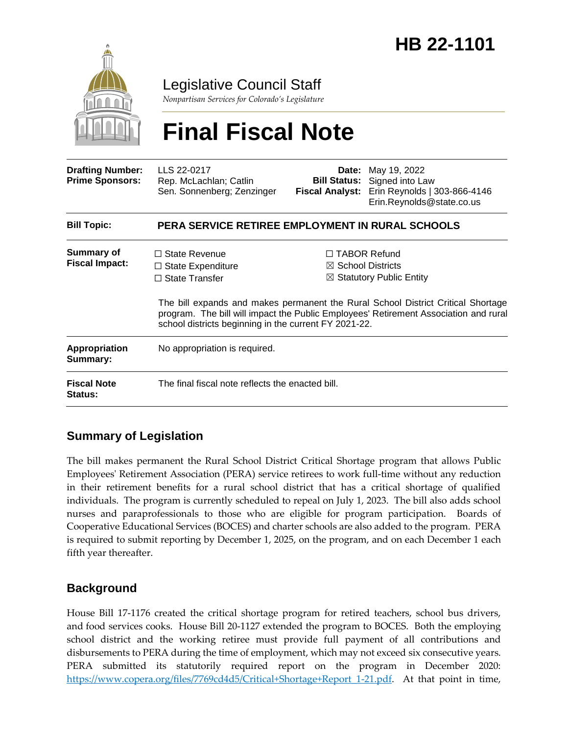

Legislative Council Staff

*Nonpartisan Services for Colorado's Legislature*

# **Final Fiscal Note**

| <b>Drafting Number:</b><br><b>Prime Sponsors:</b> | LLS 22-0217<br>Rep. McLachlan; Catlin<br>Sen. Sonnenberg; Zenzinger                                                                | Date:<br><b>Fiscal Analyst:</b> | May 19, 2022<br><b>Bill Status:</b> Signed into Law<br>Erin Reynolds   303-866-4146<br>Erin.Reynolds@state.co.us                                                                                                                                                       |  |
|---------------------------------------------------|------------------------------------------------------------------------------------------------------------------------------------|---------------------------------|------------------------------------------------------------------------------------------------------------------------------------------------------------------------------------------------------------------------------------------------------------------------|--|
| <b>Bill Topic:</b>                                | <b>PERA SERVICE RETIREE EMPLOYMENT IN RURAL SCHOOLS</b>                                                                            |                                 |                                                                                                                                                                                                                                                                        |  |
| Summary of<br><b>Fiscal Impact:</b>               | $\Box$ State Revenue<br>$\Box$ State Expenditure<br>$\Box$ State Transfer<br>school districts beginning in the current FY 2021-22. |                                 | $\Box$ TABOR Refund<br>$\boxtimes$ School Districts<br>$\boxtimes$ Statutory Public Entity<br>The bill expands and makes permanent the Rural School District Critical Shortage<br>program. The bill will impact the Public Employees' Retirement Association and rural |  |
| Appropriation<br>Summary:                         | No appropriation is required.                                                                                                      |                                 |                                                                                                                                                                                                                                                                        |  |
| <b>Fiscal Note</b><br><b>Status:</b>              | The final fiscal note reflects the enacted bill.                                                                                   |                                 |                                                                                                                                                                                                                                                                        |  |

### **Summary of Legislation**

The bill makes permanent the Rural School District Critical Shortage program that allows Public Employees' Retirement Association (PERA) service retirees to work full-time without any reduction in their retirement benefits for a rural school district that has a critical shortage of qualified individuals. The program is currently scheduled to repeal on July 1, 2023. The bill also adds school nurses and paraprofessionals to those who are eligible for program participation. Boards of Cooperative Educational Services (BOCES) and charter schools are also added to the program. PERA is required to submit reporting by December 1, 2025, on the program, and on each December 1 each fifth year thereafter.

#### **Background**

House Bill 17-1176 created the critical shortage program for retired teachers, school bus drivers, and food services cooks. House Bill 20-1127 extended the program to BOCES. Both the employing school district and the working retiree must provide full payment of all contributions and disbursements to PERA during the time of employment, which may not exceed six consecutive years. PERA submitted its statutorily required report on the program in December 2020: https://www.copera.org/files/7769cd4d5/Critical+Shortage+Report 1-21.pdf. At that point in time,